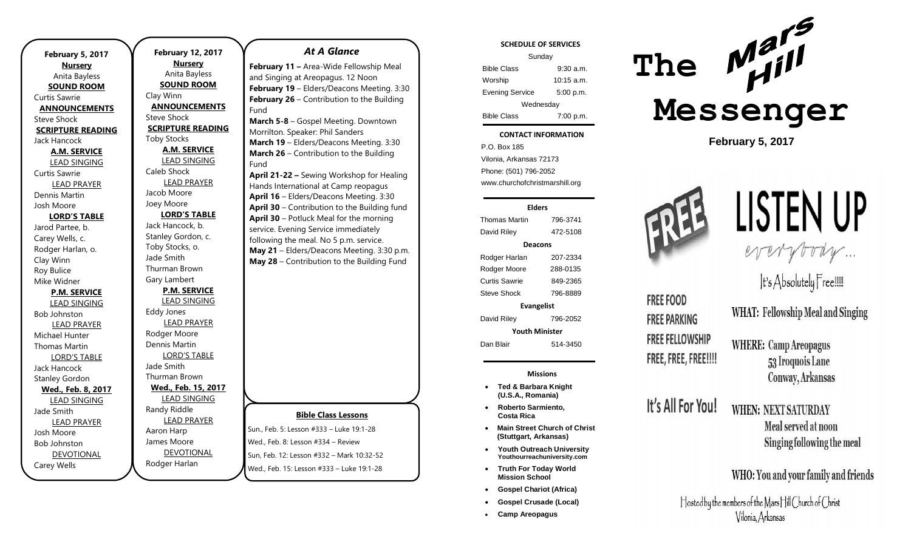**February 5, 2017 Nursery** Anita Bayless **SOUND ROOM** Curtis Sawrie **ANNOUNCEMENTS** Steve Shock **SCRIPTURE READING** Jack Hancock **A.M. SERVICE** LEAD SINGING Curtis Sawrie LEAD PRAYER Dennis Martin Josh Moore **LORD'S TABLE** Jarod Partee, b. Carey Wells, c. Rodger Harlan, o. Clay Winn Roy Bulice Mike Widner **P.M. SERVICE** LEAD SINGING Bob Johnston LEAD PRAYER Michael Hunter Thomas Martin LORD'S TABLE Jack Hancock Stanley Gordon **Wed., Feb. 8, 2017** LEAD SINGING Jade Smith LEAD PRAYER Josh Moore Bob Johnston DEVOTIONAL Carey Wells

**February 12, 2017 Nursery** Anita Bayless **SOUND ROOM** Clay Winn **ANNOUNCEMENTS** Steve Shock **SCRIPTURE READING** Toby Stocks **A.M. SERVICE** LEAD SINGING Caleb Shock LEAD PRAYER Jacob Moore Joey Moore **LORD'S TABLE** Jack Hancock, b. Stanley Gordon, c. Toby Stocks, o. Jade Smith Thurman Brown Gary Lambert **P.M. SERVICE** LEAD SINGING Eddy Jones LEAD PRAYER Rodger Moore Dennis Martin LORD'S TABLE Jade Smith Thurman Brown **Wed., Feb. 15, 2017** LEAD SINGING Randy Riddle LEAD PRAYER Aaron Harp James Moore DEVOTIONAL

Rodger Harlan

#### *At A Glance*

**February 11 –** Area-Wide Fellowship Meal and Singing at Areopagus. 12 Noon **February 19** – Elders/Deacons Meeting. 3:30 **February 26** – Contribution to the Building Fund

**March 5-8** – Gospel Meeting. Downtown Morrilton. Speaker: Phil Sanders **March 19** – Elders/Deacons Meeting. 3:30 **March 26** – Contribution to the Building Fund

**April 21-22 –** Sewing Workshop for Healing Hands International at Camp reopagus **April 16** – Elders/Deacons Meeting. 3:30 **April 30** – Contribution to the Building fund **April 30** – Potluck Meal for the morning service. Evening Service immediately following the meal. No 5 p.m. service. **May 21** – Elders/Deacons Meeting. 3:30 p.m. **May 28** – Contribution to the Building Fund

#### **Bible Class Lessons**

Sun., Feb. 5: Lesson #333 – Luke 19:1-28 Wed., Feb. 8: Lesson #334 – Review Sun, Feb. 12: Lesson #332 – Mark 10:32-52 Wed., Feb. 15: Lesson #333 – Luke 19:1-28

#### **SCHEDULE OF SERVICES**

| Sunday                 |              |
|------------------------|--------------|
| <b>Bible Class</b>     | $9:30$ a.m.  |
| Worship                | $10:15$ a.m. |
| <b>Evening Service</b> | 5:00 p.m.    |
| Wednesday              |              |
| <b>Bible Class</b>     | 7:00 p.m.    |

#### Tuesday **CONTACT INFORMATION**

. .o. Bex 166<br>Vilonia, Arkansas 72173 P.O. Box 185 Phone: (501) 796-2052 www.churchofchristmarshill.org

#### **Elders**

Thomas Martin 796-3741 David Riley 472-5108 **Deacons** Rodger Harlan 207-2334 Rodger Moore 288-0135 Curtis Sawrie 849-2365 Steve Shock 796-8889 **Evangelist** David Riley 796-2052

**Youth Minister**

Dan Blair 514-3450

**Missions**

- **Ted & Barbara Knight (U.S.A., Romania)**
- **Roberto Sarmiento, Costa Rica**
- **Main Street Church of Christ (Stuttgart, Arkansas)**
- **Youth Outreach University Youthourreachuniversity.com**
- **Truth For Today World Mission School**
- **Gospel Chariot (Africa)**
- **Gospel Crusade (Local)**
- **Camp Areopagus**



**February 5, 2017**



**FREE FOOD** 

**FREE PARKING** 

**FREE FELLOWSHIP** 

FREE, FREE, FREE!!!!

It's All For You!

# LISTEN UP everybody ...

It's Absolutely Free!!!!!

**WHAT: Fellowship Meal and Singing** 

**WHERE: Camp Areopagus** 53 Iroquois Lane Conway, Arkansas

# WHEN: NEXT SATURDAY

Meal served at noon Singing following the meal

## WHO: You and your family and friends

Hosted by the members of the Mars Hill Church of Christ Vilonia, Arkansas